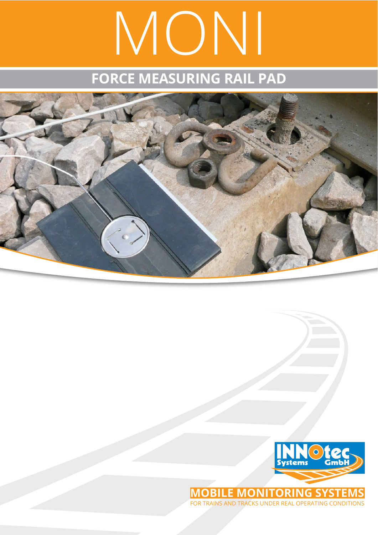# MONI

## **FORCE MEASURING RAIL PAD**





**MOBILE MONITORING SYSTEM** for trains and tracks under real operating conditions